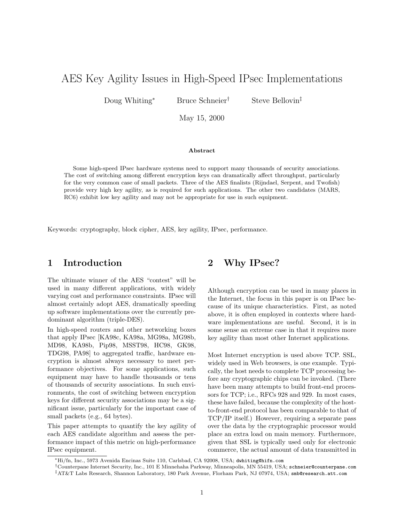# AES Key Agility Issues in High-Speed IPsec Implementations

Doug Whiting<sup>∗</sup> Bruce Schneier<sup>†</sup> Steve Bellovin<sup>‡</sup>

May 15, 2000

#### Abstract

Some high-speed IPsec hardware systems need to support many thousands of security associations. The cost of switching among different encryption keys can dramatically affect throughput, particularly for the very common case of small packets. Three of the AES finalists (Rijndael, Serpent, and Twofish) provide very high key agility, as is required for such applications. The other two candidates (MARS, RC6) exhibit low key agility and may not be appropriate for use in such equipment.

Keywords: cryptography, block cipher, AES, key agility, IPsec, performance.

#### 1 Introduction

The ultimate winner of the AES "contest" will be used in many different applications, with widely varying cost and performance constraints. IPsec will almost certainly adopt AES, dramatically speeding up software implementations over the currently predominant algorithm (triple-DES).

In high-speed routers and other networking boxes that apply IPsec [KA98c, KA98a, MG98a, MG98b, MD98, KA98b, Pip98, MSST98, HC98, GK98, TDG98, PA98] to aggregated traffic, hardware encryption is almost always necessary to meet performance objectives. For some applications, such equipment may have to handle thousands or tens of thousands of security associations. In such environments, the cost of switching between encryption keys for different security associations may be a significant issue, particularly for the important case of small packets (e.g., 64 bytes).

This paper attempts to quantify the key agility of each AES candidate algorithm and assess the performance impact of this metric on high-performance IPsec equipment.

# 2 Why IPsec?

Although encryption can be used in many places in the Internet, the focus in this paper is on IPsec because of its unique characteristics. First, as noted above, it is often employed in contexts where hardware implementations are useful. Second, it is in some sense an extreme case in that it requires more key agility than most other Internet applications.

Most Internet encryption is used above TCP. SSL, widely used in Web browsers, is one example. Typically, the host needs to complete TCP processing before any cryptographic chips can be invoked. (There have been many attempts to build front-end processors for TCP; i.e., RFCs 928 and 929. In most cases, these have failed, because the complexity of the hostto-front-end protocol has been comparable to that of TCP/IP itself.) However, requiring a separate pass over the data by the cryptographic processor would place an extra load on main memory. Furthermore, given that SSL is typically used only for electronic commerce, the actual amount of data transmitted in

<sup>∗</sup>Hi/fn, Inc., 5973 Avenida Encinas Suite 110, Carlsbad, CA 92008, USA; dwhiting@hifn.com

<sup>†</sup>Counterpane Internet Security, Inc., 101 E Minnehaha Parkway, Minneapolis, MN 55419, USA; schneier@counterpane.com

<sup>‡</sup>AT&T Labs Research, Shannon Laboratory, 180 Park Avenue, Florham Park, NJ 07974, USA; smb@research.att.com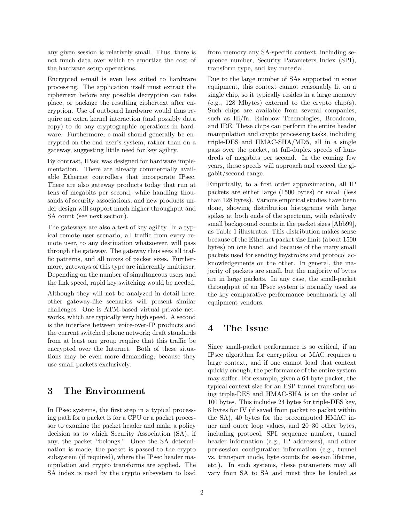any given session is relatively small. Thus, there is not much data over which to amortize the cost of the hardware setup operations.

Encrypted e-mail is even less suited to hardware processing. The application itself must extract the ciphertext before any possible decryption can take place, or package the resulting ciphertext after encryption. Use of outboard hardware would thus require an extra kernel interaction (and possibly data copy) to do any cryptographic operations in hardware. Furthermore, e-mail should generally be encrypted on the end user's system, rather than on a gateway, suggesting little need for key agility.

By contrast, IPsec was designed for hardware implementation. There are already commercially available Ethernet controllers that incorporate IPsec. There are also gateway products today that run at tens of megabits per second, while handling thousands of security associations, and new products under design will support much higher throughput and SA count (see next section).

The gateways are also a test of key agility. In a typical remote user scenario, all traffic from every remote user, to any destination whatsoever, will pass through the gateway. The gateway thus sees all traffic patterns, and all mixes of packet sizes. Furthermore, gateways of this type are inherently multiuser. Depending on the number of simultaneous users and the link speed, rapid key switching would be needed.

Although they will not be analyzed in detail here, other gateway-like scenarios will present similar challenges. One is ATM-based virtual private networks, which are typically very high speed. A second is the interface between voice-over-IP products and the current switched phone network; draft standards from at least one group require that this traffic be encrypted over the Internet. Both of these situations may be even more demanding, because they use small packets exclusively.

### 3 The Environment

In IPsec systems, the first step in a typical processing path for a packet is for a CPU or a packet processor to examine the packet header and make a policy decision as to which Security Association (SA), if any, the packet "belongs." Once the SA determination is made, the packet is passed to the crypto subsystem (if required), where the IPsec header manipulation and crypto transforms are applied. The SA index is used by the crypto subsystem to load

from memory any SA-specific context, including sequence number, Security Parameters Index (SPI), transform type, and key material.

Due to the large number of SAs supported in some equipment, this context cannot reasonably fit on a single chip, so it typically resides in a large memory (e.g., 128 Mbytes) external to the crypto chip(s). Such chips are available from several companies, such as Hi/fn, Rainbow Technologies, Broadcom, and IRE. These chips can perform the entire header manipulation and crypto processing tasks, including triple-DES and HMAC-SHA/MD5, all in a single pass over the packet, at full-duplex speeds of hundreds of megabits per second. In the coming few years, these speeds will approach and exceed the gigabit/second range.

Empirically, to a first order approximation, all IP packets are either large (1500 bytes) or small (less than 128 bytes). Various empirical studies have been done, showing distribution histograms with large spikes at both ends of the spectrum, with relatively small background counts in the packet sizes [Abb99], as Table 1 illustrates. This distribution makes sense because of the Ethernet packet size limit (about 1500 bytes) on one hand, and because of the many small packets used for sending keystrokes and protocol acknowledgements on the other. In general, the majority of packets are small, but the majority of bytes are in large packets. In any case, the small-packet throughput of an IPsec system is normally used as the key comparative performance benchmark by all equipment vendors.

#### 4 The Issue

Since small-packet performance is so critical, if an IPsec algorithm for encryption or MAC requires a large context, and if one cannot load that context quickly enough, the performance of the entire system may suffer. For example, given a 64-byte packet, the typical context size for an ESP tunnel transform using triple-DES and HMAC-SHA is on the order of 100 bytes. This includes 24 bytes for triple-DES key, 8 bytes for IV (if saved from packet to packet within the SA), 40 bytes for the precomputed HMAC inner and outer loop values, and 20–30 other bytes, including protocol, SPI, sequence number, tunnel header information (e.g., IP addresses), and other per-session configuration information (e.g., tunnel vs. transport mode, byte counts for session lifetime, etc.). In such systems, these parameters may all vary from SA to SA and must thus be loaded as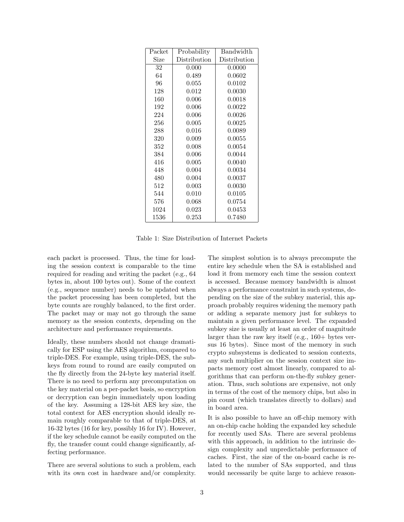| Packet | Probability  | Bandwidth    |
|--------|--------------|--------------|
| Size   | Distribution | Distribution |
| 32     | 0.000        | 0.0000       |
| 64     | 0.489        | 0.0602       |
| 96     | 0.055        | 0.0102       |
| 128    | 0.012        | 0.0030       |
| 160    | 0.006        | 0.0018       |
| 192    | 0.006        | 0.0022       |
| 224    | 0.006        | 0.0026       |
| 256    | 0.005        | 0.0025       |
| 288    | 0.016        | 0.0089       |
| 320    | 0.009        | 0.0055       |
| 352    | 0.008        | 0.0054       |
| 384    | 0.006        | 0.0044       |
| 416    | 0.005        | 0.0040       |
| 448    | 0.004        | 0.0034       |
| 480    | 0.004        | 0.0037       |
| 512    | 0.003        | 0.0030       |
| 544    | 0.010        | 0.0105       |
| 576    | 0.068        | 0.0754       |
| 1024   | 0.023        | 0.0453       |
| 1536   | 0.253        | 0.7480       |

Table 1: Size Distribution of Internet Packets

each packet is processed. Thus, the time for loading the session context is comparable to the time required for reading and writing the packet (e.g., 64 bytes in, about 100 bytes out). Some of the context (e.g., sequence number) needs to be updated when the packet processing has been completed, but the byte counts are roughly balanced, to the first order. The packet may or may not go through the same memory as the session contexts, depending on the architecture and performance requirements.

Ideally, these numbers should not change dramatically for ESP using the AES algorithm, compared to triple-DES. For example, using triple-DES, the subkeys from round to round are easily computed on the fly directly from the 24-byte key material itself. There is no need to perform any precomputation on the key material on a per-packet basis, so encryption or decryption can begin immediately upon loading of the key. Assuming a 128-bit AES key size, the total context for AES encryption should ideally remain roughly comparable to that of triple-DES, at 16-32 bytes (16 for key, possibly 16 for IV). However, if the key schedule cannot be easily computed on the fly, the transfer count could change significantly, affecting performance.

There are several solutions to such a problem, each with its own cost in hardware and/or complexity.

The simplest solution is to always precompute the entire key schedule when the SA is established and load it from memory each time the session context is accessed. Because memory bandwidth is almost always a performance constraint in such systems, depending on the size of the subkey material, this approach probably requires widening the memory path or adding a separate memory just for subkeys to maintain a given performance level. The expanded subkey size is usually at least an order of magnitude larger than the raw key itself (e.g., 160+ bytes versus 16 bytes). Since most of the memory in such crypto subsystems is dedicated to session contexts, any such multiplier on the session context size impacts memory cost almost linearly, compared to algorithms that can perform on-the-fly subkey generation. Thus, such solutions are expensive, not only in terms of the cost of the memory chips, but also in pin count (which translates directly to dollars) and in board area.

It is also possible to have an off-chip memory with an on-chip cache holding the expanded key schedule for recently used SAs. There are several problems with this approach, in addition to the intrinsic design complexity and unpredictable performance of caches. First, the size of the on-board cache is related to the number of SAs supported, and thus would necessarily be quite large to achieve reason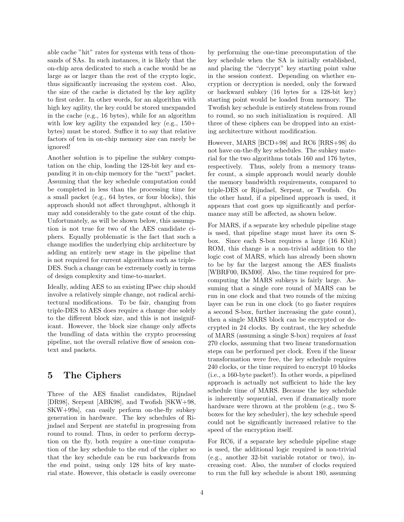able cache "hit" rates for systems with tens of thousands of SAs. In such instances, it is likely that the on-chip area dedicated to such a cache would be as large as or larger than the rest of the crypto logic, thus significantly increasing the system cost. Also, the size of the cache is dictated by the key agility to first order. In other words, for an algorithm with high key agility, the key could be stored unexpanded in the cache (e.g., 16 bytes), while for an algorithm with low key agility the expanded key  $(e.g., 150+$ bytes) must be stored. Suffice it to say that relative factors of ten in on-chip memory size can rarely be ignored!

Another solution is to pipeline the subkey computation on the chip, loading the 128-bit key and expanding it in on-chip memory for the "next" packet. Assuming that the key schedule computation could be completed in less than the processing time for a small packet (e.g., 64 bytes, or four blocks), this approach should not affect throughput, although it may add considerably to the gate count of the chip. Unfortunately, as will be shown below, this assumption is not true for two of the AES candidate ciphers. Equally problematic is the fact that such a change modifies the underlying chip architecture by adding an entirely new stage in the pipeline that is not required for current algorithms such as triple-DES. Such a change can be extremely costly in terms of design complexity and time-to-market.

Ideally, adding AES to an existing IPsec chip should involve a relatively simple change, not radical architectural modifications. To be fair, changing from triple-DES to AES does require a change due solely to the different block size, and this is not insignificant. However, the block size change only affects the bundling of data within the crypto processing pipeline, not the overall relative flow of session context and packets.

# 5 The Ciphers

Three of the AES finalist candidates, Rijndael [DR98], Serpent [ABK98], and Twofish [SKW+98, SKW+99a], can easily perform on-the-fly subkey generation in hardware. The key schedules of Rijndael and Serpent are stateful in progressing from round to round. Thus, in order to perform decryption on the fly, both require a one-time computation of the key schedule to the end of the cipher so that the key schedule can be run backwards from the end point, using only 128 bits of key material state. However, this obstacle is easily overcome by performing the one-time precomputation of the key schedule when the SA is initially established, and placing the "decrypt" key starting point value in the session context. Depending on whether encryption or decryption is needed, only the forward or backward subkey (16 bytes for a 128-bit key) starting point would be loaded from memory. The Twofish key schedule is entirely stateless from round to round, so no such initialization is required. All three of these ciphers can be dropped into an existing architecture without modification.

However, MARS [BCD+98] and RC6 [RRS+98] do not have on-the-fly key schedules. The subkey material for the two algorithms totals 160 and 176 bytes, respectively. Thus, solely from a memory transfer count, a simple approach would nearly double the memory bandwidth requirements, compared to triple-DES or Rijndael, Serpent, or Twofish. On the other hand, if a pipelined approach is used, it appears that cost goes up significantly and performance may still be affected, as shown below.

For MARS, if a separate key schedule pipeline stage is used, that pipeline stage must have its own Sbox. Since each S-box requires a large (16 Kbit) ROM, this change is a non-trivial addition to the logic cost of MARS, which has already been shown to be by far the largest among the AES finalists [WBRF00, IKM00]. Also, the time required for precomputing the MARS subkeys is fairly large. Assuming that a single core round of MARS can be run in one clock and that two rounds of the mixing layer can be run in one clock (to go faster requires a second S-box, further increasing the gate count), then a single MARS block can be encrypted or decrypted in 24 clocks. By contrast, the key schedule of MARS (assuming a single S-box) requires at least 270 clocks, assuming that two linear transformation steps can be performed per clock. Even if the linear transformation were free, the key schedule requires 240 clocks, or the time required to encrypt 10 blocks (i.e., a 160-byte packet!). In other words, a pipelined approach is actually not sufficient to hide the key schedule time of MARS. Because the key schedule is inherently sequential, even if dramatically more hardware were thrown at the problem (e.g., two Sboxes for the key scheduler), the key schedule speed could not be significantly increased relative to the speed of the encryption itself.

For RC6, if a separate key schedule pipeline stage is used, the additional logic required is non-trivial (e.g., another 32-bit variable rotator or two), increasing cost. Also, the number of clocks required to run the full key schedule is about 180, assuming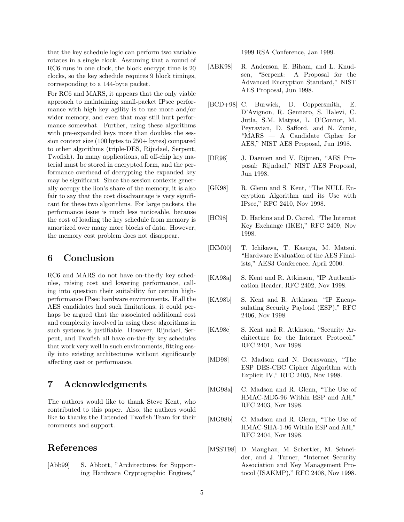that the key schedule logic can perform two variable rotates in a single clock. Assuming that a round of RC6 runs in one clock, the block encrypt time is 20 clocks, so the key schedule requires 9 block timings, corresponding to a 144-byte packet.

For RC6 and MARS, it appears that the only viable approach to maintaining small-packet IPsec performance with high key agility is to use more and/or wider memory, and even that may still hurt performance somewhat. Further, using these algorithms with pre-expanded keys more than doubles the session context size (100 bytes to 250+ bytes) compared to other algorithms (triple-DES, Rijndael, Serpent, Twofish). In many applications, all off-chip key material must be stored in encrypted form, and the performance overhead of decrypting the expanded key may be significant. Since the session contexts generally occupy the lion's share of the memory, it is also fair to say that the cost disadvantage is very significant for these two algorithms. For large packets, the performance issue is much less noticeable, because the cost of loading the key schedule from memory is amortized over many more blocks of data. However, the memory cost problem does not disappear.

# 6 Conclusion

RC6 and MARS do not have on-the-fly key schedules, raising cost and lowering performance, calling into question their suitability for certain highperformance IPsec hardware environments. If all the AES candidates had such limitations, it could perhaps be argued that the associated additional cost and complexity involved in using these algorithms in such systems is justifiable. However, Rijndael, Serpent, and Twofish all have on-the-fly key schedules that work very well in such environments, fitting easily into existing architectures without significantly affecting cost or performance.

### 7 Acknowledgments

The authors would like to thank Steve Kent, who contributed to this paper. Also, the authors would like to thanks the Extended Twofish Team for their comments and support.

### References

[Abb99] S. Abbott, "Architectures for Supporting Hardware Cryptographic Engines,"

1999 RSA Conference, Jan 1999.

- [ABK98] R. Anderson, E. Biham, and L. Knudsen, "Serpent: A Proposal for the Advanced Encryption Standard," NIST AES Proposal, Jun 1998.
- [BCD+98] C. Burwick, D. Coppersmith, E. D'Avignon, R. Gennaro, S. Halevi, C. Jutla, S.M. Matyas, L. O'Connor, M. Peyravian, D. Safford, and N. Zunic, "MARS — A Candidate Cipher for AES," NIST AES Proposal, Jun 1998.
- [DR98] J. Daemen and V. Rijmen, "AES Proposal: Rijndael," NIST AES Proposal, Jun 1998.
- [GK98] R. Glenn and S. Kent, "The NULL Encryption Algorithm and its Use with IPsec," RFC 2410, Nov 1998.
- [HC98] D. Harkins and D. Carrel, "The Internet Key Exchange (IKE)," RFC 2409, Nov 1998.
- [IKM00] T. Ichikawa, T. Kasuya, M. Matsui. "Hardware Evaluation of the AES Finalists," AES3 Conference, April 2000.
- [KA98a] S. Kent and R. Atkinson, "IP Authentication Header, RFC 2402, Nov 1998.
- [KA98b] S. Kent and R. Atkinson, "IP Encapsulating Security Payload (ESP)," RFC 2406, Nov 1998.
- [KA98c] S. Kent and R. Atkinson, "Security Architecture for the Internet Protocol," RFC 2401, Nov 1998.
- [MD98] C. Madson and N. Doraswamy, "The ESP DES-CBC Cipher Algorithm with Explicit IV," RFC 2405, Nov 1998.
- [MG98a] C. Madson and R. Glenn, "The Use of HMAC-MD5-96 Within ESP and AH," RFC 2403, Nov 1998.
- [MG98b] C. Madson and R. Glenn, "The Use of HMAC-SHA-1-96 Within ESP and AH," RFC 2404, Nov 1998.
- [MSST98] D. Maughan, M. Schertler, M. Schneider, and J. Turner, "Internet Security Association and Key Management Protocol (ISAKMP)," RFC 2408, Nov 1998.